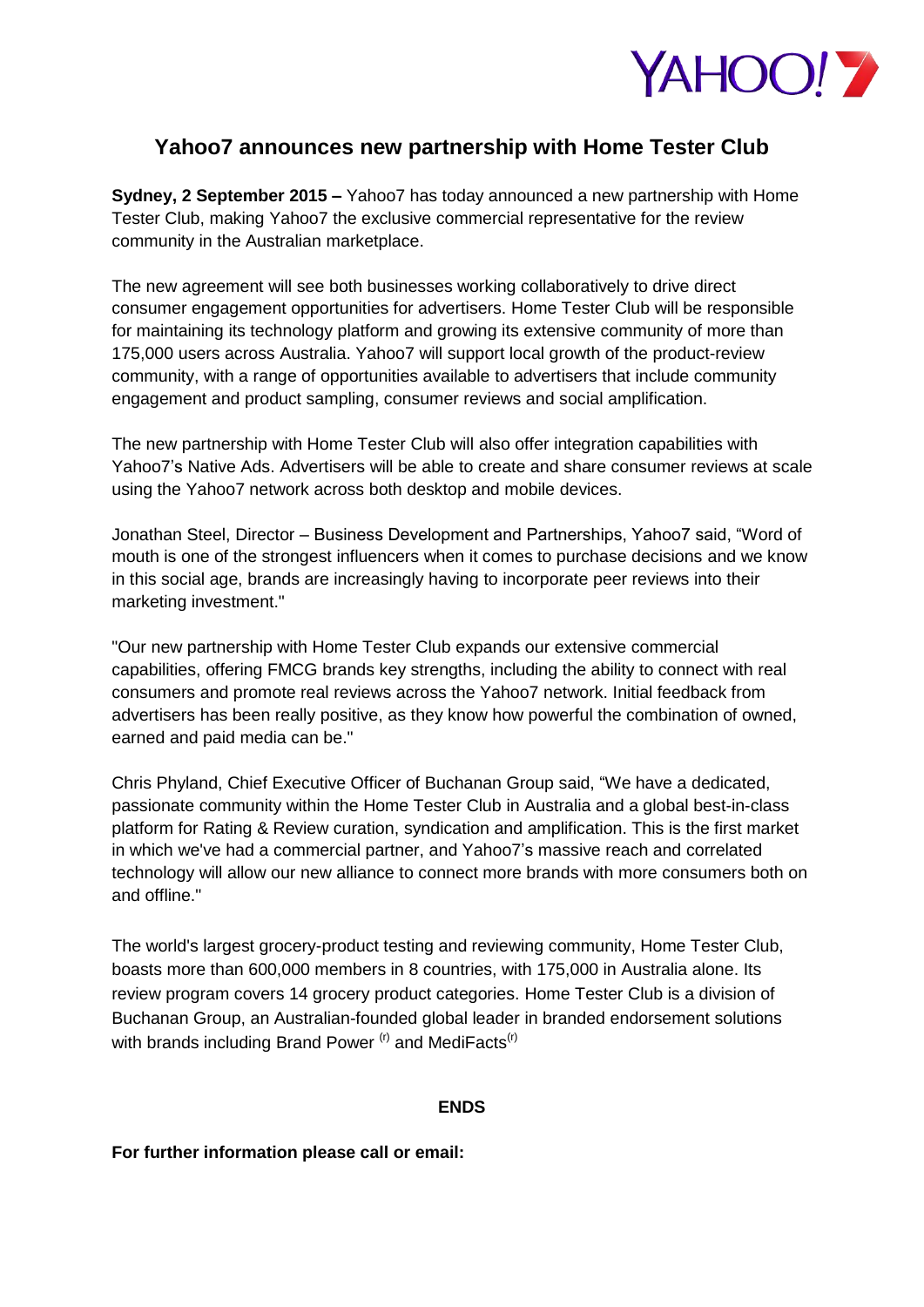

# **Yahoo7 announces new partnership with Home Tester Club**

**Sydney, 2 September 2015 –** Yahoo7 has today announced a new partnership with Home Tester Club, making Yahoo7 the exclusive commercial representative for the review community in the Australian marketplace.

The new agreement will see both businesses working collaboratively to drive direct consumer engagement opportunities for advertisers. Home Tester Club will be responsible for maintaining its technology platform and growing its extensive community of more than 175,000 users across Australia. Yahoo7 will support local growth of the product-review community, with a range of opportunities available to advertisers that include community engagement and product sampling, consumer reviews and social amplification.

The new partnership with Home Tester Club will also offer integration capabilities with Yahoo7's Native Ads. Advertisers will be able to create and share consumer reviews at scale using the Yahoo7 network across both desktop and mobile devices.

Jonathan Steel, Director – Business Development and Partnerships, Yahoo7 said, "Word of mouth is one of the strongest influencers when it comes to purchase decisions and we know in this social age, brands are increasingly having to incorporate peer reviews into their marketing investment."

"Our new partnership with Home Tester Club expands our extensive commercial capabilities, offering FMCG brands key strengths, including the ability to connect with real consumers and promote real reviews across the Yahoo7 network. Initial feedback from advertisers has been really positive, as they know how powerful the combination of owned, earned and paid media can be."

Chris Phyland, Chief Executive Officer of Buchanan Group said, "We have a dedicated, passionate community within the Home Tester Club in Australia and a global best-in-class platform for Rating & Review curation, syndication and amplification. This is the first market in which we've had a commercial partner, and Yahoo7's massive reach and correlated technology will allow our new alliance to connect more brands with more consumers both on and offline."

The world's largest grocery-product testing and reviewing community, Home Tester Club, boasts more than 600,000 members in 8 countries, with 175,000 in Australia alone. Its review program covers 14 grocery product categories. Home Tester Club is a division of Buchanan Group, an Australian-founded global leader in branded endorsement solutions with brands including Brand Power  $(r)$  and MediFacts $(r)$ 

### **ENDS**

### **For further information please call or email:**